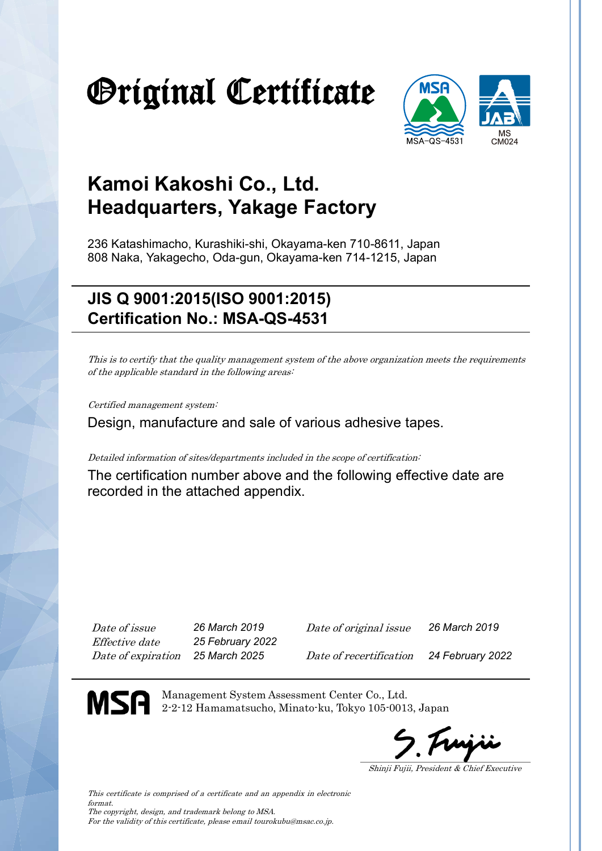# Original Certificate



### **Kamoi Kakoshi Co., Ltd. Headquarters, Yakage Factory**

236 Katashimacho, Kurashiki-shi, Okayama-ken 710-8611, Japan 808 Naka, Yakagecho, Oda-gun, Okayama-ken 714-1215, Japan

### **JIS Q 9001:2015(ISO 9001:2015) Certification No.: MSA-QS-4531**

This is to certify that the quality management system of the above organization meets the requirements of the applicable standard in the following areas:

Certified management system:

Design, manufacture and sale of various adhesive tapes.

Detailed information of sites/departments included in the scope of certification:

The certification number above and the following effective date are recorded in the attached appendix.

Effective date *25 February 2022*

Date of issue *26 March 2019* Date of original issue *26 March 2019*

Date of expiration *25 March 2025* Date of recertification *24 February 2022*

MSA

Management System Assessment Center Co., Ltd. 2-2-12 Hamamatsucho, Minato-ku, Tokyo 105-0013, Japan

Shinji Fujii, President & Chief Executive

This certificate is comprised of a certificate and an appendix in electronic format. The copyright, design, and trademark belong to MSA. For the validity of this certificate, please email tourokubu@msac.co.jp.